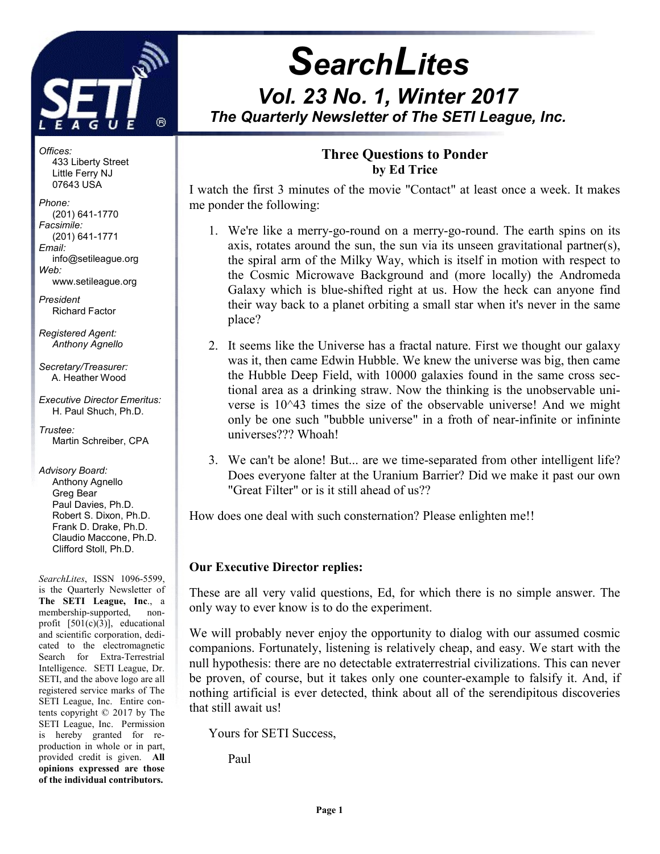

j

# **SearchLites** Vol. 23 No. 1, Winter 2017 The Quarterly Newsletter of The SETI League, Inc.

Offices: 433 Liberty Street Little Ferry NJ 07643 USA

Phone: (201) 641-1770 Facsimile: (201) 641-1771 Email: info@setileague.org Web: www.setileague.org

President Richard Factor

Registered Agent: Anthony Agnello

Secretary/Treasurer: A. Heather Wood

Executive Director Emeritus: H. Paul Shuch, Ph.D.

Trustee: Martin Schreiber, CPA

Advisory Board: Anthony Agnello Greg Bear Paul Davies, Ph.D. Robert S. Dixon, Ph.D. Frank D. Drake, Ph.D. Claudio Maccone, Ph.D. Clifford Stoll, Ph.D.

SearchLites, ISSN 1096-5599, is the Quarterly Newsletter of The SETI League, Inc., a membership-supported, nonprofit [501(c)(3)], educational and scientific corporation, dedicated to the electromagnetic Search for Extra-Terrestrial Intelligence. SETI League, Dr. SETI, and the above logo are all registered service marks of The SETI League, Inc. Entire contents copyright © 2017 by The SETI League, Inc. Permission is hereby granted for reproduction in whole or in part, provided credit is given. All opinions expressed are those of the individual contributors.

# Three Questions to Ponder by Ed Trice

I watch the first 3 minutes of the movie "Contact" at least once a week. It makes me ponder the following:

- 1. We're like a merry-go-round on a merry-go-round. The earth spins on its axis, rotates around the sun, the sun via its unseen gravitational partner(s), the spiral arm of the Milky Way, which is itself in motion with respect to the Cosmic Microwave Background and (more locally) the Andromeda Galaxy which is blue-shifted right at us. How the heck can anyone find their way back to a planet orbiting a small star when it's never in the same place?
- 2. It seems like the Universe has a fractal nature. First we thought our galaxy was it, then came Edwin Hubble. We knew the universe was big, then came the Hubble Deep Field, with 10000 galaxies found in the same cross sectional area as a drinking straw. Now the thinking is the unobservable universe is 10^43 times the size of the observable universe! And we might only be one such "bubble universe" in a froth of near-infinite or infininte universes??? Whoah!
- 3. We can't be alone! But... are we time-separated from other intelligent life? Does everyone falter at the Uranium Barrier? Did we make it past our own "Great Filter" or is it still ahead of us??

How does one deal with such consternation? Please enlighten me!!

## Our Executive Director replies:

These are all very valid questions, Ed, for which there is no simple answer. The only way to ever know is to do the experiment.

We will probably never enjoy the opportunity to dialog with our assumed cosmic companions. Fortunately, listening is relatively cheap, and easy. We start with the null hypothesis: there are no detectable extraterrestrial civilizations. This can never be proven, of course, but it takes only one counter-example to falsify it. And, if nothing artificial is ever detected, think about all of the serendipitous discoveries that still await us!

Yours for SETI Success,

Paul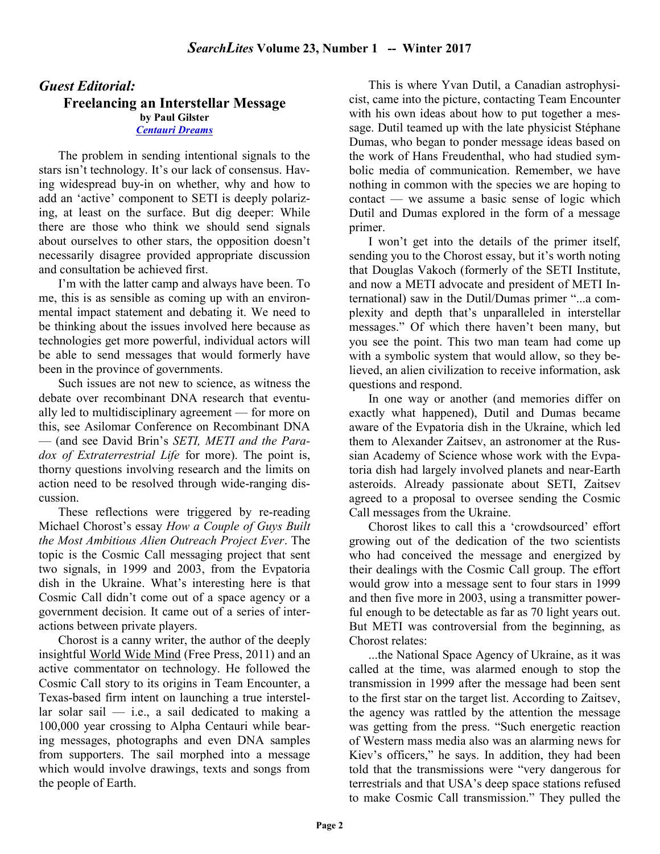## Guest Editorial: Freelancing an Interstellar Message by Paul Gilster Centauri Dreams

The problem in sending intentional signals to the stars isn't technology. It's our lack of consensus. Having widespread buy-in on whether, why and how to add an 'active' component to SETI is deeply polarizing, at least on the surface. But dig deeper: While there are those who think we should send signals about ourselves to other stars, the opposition doesn't necessarily disagree provided appropriate discussion and consultation be achieved first.

I'm with the latter camp and always have been. To me, this is as sensible as coming up with an environmental impact statement and debating it. We need to be thinking about the issues involved here because as technologies get more powerful, individual actors will be able to send messages that would formerly have been in the province of governments.

Such issues are not new to science, as witness the debate over recombinant DNA research that eventually led to multidisciplinary agreement — for more on this, see Asilomar Conference on Recombinant DNA — (and see David Brin's SETI, METI and the Paradox of Extraterrestrial Life for more). The point is, thorny questions involving research and the limits on action need to be resolved through wide-ranging discussion.

These reflections were triggered by re-reading Michael Chorost's essay How a Couple of Guys Built the Most Ambitious Alien Outreach Project Ever. The topic is the Cosmic Call messaging project that sent two signals, in 1999 and 2003, from the Evpatoria dish in the Ukraine. What's interesting here is that Cosmic Call didn't come out of a space agency or a government decision. It came out of a series of interactions between private players.

Chorost is a canny writer, the author of the deeply insightful World Wide Mind (Free Press, 2011) and an active commentator on technology. He followed the Cosmic Call story to its origins in Team Encounter, a Texas-based firm intent on launching a true interstellar solar sail  $-$  i.e., a sail dedicated to making a 100,000 year crossing to Alpha Centauri while bearing messages, photographs and even DNA samples from supporters. The sail morphed into a message which would involve drawings, texts and songs from the people of Earth.

This is where Yvan Dutil, a Canadian astrophysicist, came into the picture, contacting Team Encounter with his own ideas about how to put together a message. Dutil teamed up with the late physicist Stéphane Dumas, who began to ponder message ideas based on the work of Hans Freudenthal, who had studied symbolic media of communication. Remember, we have nothing in common with the species we are hoping to contact — we assume a basic sense of logic which Dutil and Dumas explored in the form of a message primer.

I won't get into the details of the primer itself, sending you to the Chorost essay, but it's worth noting that Douglas Vakoch (formerly of the SETI Institute, and now a METI advocate and president of METI International) saw in the Dutil/Dumas primer "...a complexity and depth that's unparalleled in interstellar messages." Of which there haven't been many, but you see the point. This two man team had come up with a symbolic system that would allow, so they believed, an alien civilization to receive information, ask questions and respond.

In one way or another (and memories differ on exactly what happened), Dutil and Dumas became aware of the Evpatoria dish in the Ukraine, which led them to Alexander Zaitsev, an astronomer at the Russian Academy of Science whose work with the Evpatoria dish had largely involved planets and near-Earth asteroids. Already passionate about SETI, Zaitsev agreed to a proposal to oversee sending the Cosmic Call messages from the Ukraine.

Chorost likes to call this a 'crowdsourced' effort growing out of the dedication of the two scientists who had conceived the message and energized by their dealings with the Cosmic Call group. The effort would grow into a message sent to four stars in 1999 and then five more in 2003, using a transmitter powerful enough to be detectable as far as 70 light years out. But METI was controversial from the beginning, as Chorost relates:

...the National Space Agency of Ukraine, as it was called at the time, was alarmed enough to stop the transmission in 1999 after the message had been sent to the first star on the target list. According to Zaitsev, the agency was rattled by the attention the message was getting from the press. "Such energetic reaction of Western mass media also was an alarming news for Kiev's officers," he says. In addition, they had been told that the transmissions were "very dangerous for terrestrials and that USA's deep space stations refused to make Cosmic Call transmission." They pulled the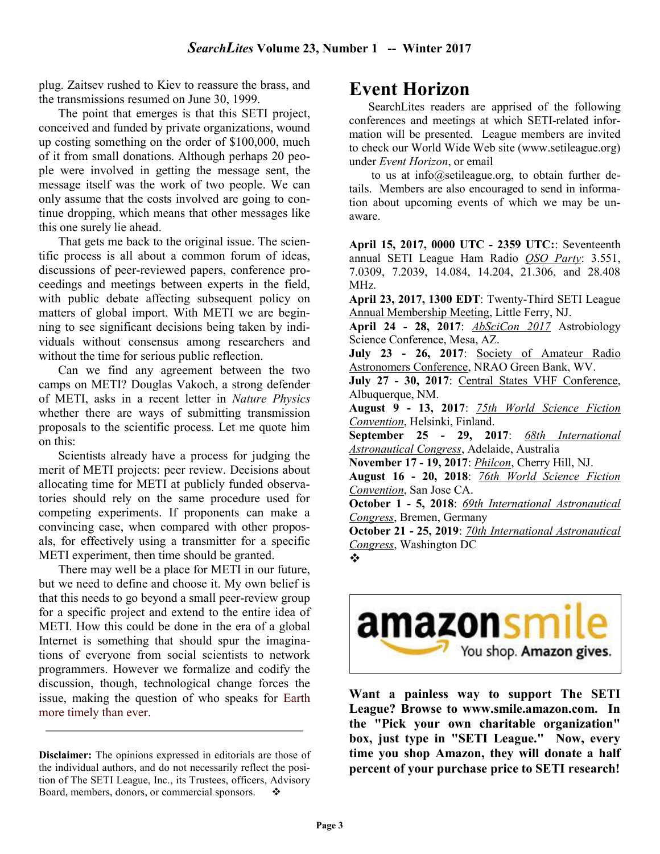plug. Zaitsev rushed to Kiev to reassure the brass, and the transmissions resumed on June 30, 1999.

The point that emerges is that this SETI project, conceived and funded by private organizations, wound up costing something on the order of \$100,000, much of it from small donations. Although perhaps 20 people were involved in getting the message sent, the message itself was the work of two people. We can only assume that the costs involved are going to continue dropping, which means that other messages like this one surely lie ahead.

That gets me back to the original issue. The scientific process is all about a common forum of ideas, discussions of peer-reviewed papers, conference proceedings and meetings between experts in the field, with public debate affecting subsequent policy on matters of global import. With METI we are beginning to see significant decisions being taken by individuals without consensus among researchers and without the time for serious public reflection.

Can we find any agreement between the two camps on METI? Douglas Vakoch, a strong defender of METI, asks in a recent letter in Nature Physics whether there are ways of submitting transmission proposals to the scientific process. Let me quote him on this:

Scientists already have a process for judging the merit of METI projects: peer review. Decisions about allocating time for METI at publicly funded observatories should rely on the same procedure used for competing experiments. If proponents can make a convincing case, when compared with other proposals, for effectively using a transmitter for a specific METI experiment, then time should be granted.

There may well be a place for METI in our future, but we need to define and choose it. My own belief is that this needs to go beyond a small peer-review group for a specific project and extend to the entire idea of METI. How this could be done in the era of a global Internet is something that should spur the imaginations of everyone from social scientists to network programmers. However we formalize and codify the discussion, though, technological change forces the issue, making the question of who speaks for Earth more timely than ever.

# Event Horizon

SearchLites readers are apprised of the following conferences and meetings at which SETI-related information will be presented. League members are invited to check our World Wide Web site (www.setileague.org) under Event Horizon, or email

 to us at info@setileague.org, to obtain further details. Members are also encouraged to send in information about upcoming events of which we may be unaware.

April 15, 2017, 0000 UTC - 2359 UTC:: Seventeenth annual SETI League Ham Radio QSO Party: 3.551, 7.0309, 7.2039, 14.084, 14.204, 21.306, and 28.408 MHz.

April 23, 2017, 1300 EDT: Twenty-Third SETI League Annual Membership Meeting, Little Ferry, NJ.

April 24 - 28, 2017: **AbSciCon 2017** Astrobiology Science Conference, Mesa, AZ.

July 23 - 26, 2017: Society of Amateur Radio Astronomers Conference, NRAO Green Bank, WV.

July 27 - 30, 2017: Central States VHF Conference, Albuquerque, NM.

August 9 - 13, 2017: 75th World Science Fiction Convention, Helsinki, Finland.

September 25 - 29, 2017: 68th International Astronautical Congress, Adelaide, Australia

November 17 - 19, 2017: *Philcon*, Cherry Hill, NJ.

August 16 - 20, 2018: 76th World Science Fiction Convention, San Jose CA.

October 1 - 5, 2018: 69th International Astronautical Congress, Bremen, Germany

October 21 - 25, 2019: 70th International Astronautical Congress, Washington DC



# amazonsm You shop. Amazon gives.

Want a painless way to support The SETI League? Browse to www.smile.amazon.com. In the "Pick your own charitable organization" box, just type in "SETI League." Now, every time you shop Amazon, they will donate a half percent of your purchase price to SETI research!

Disclaimer: The opinions expressed in editorials are those of the individual authors, and do not necessarily reflect the position of The SETI League, Inc., its Trustees, officers, Advisory Board, members, donors, or commercial sponsors.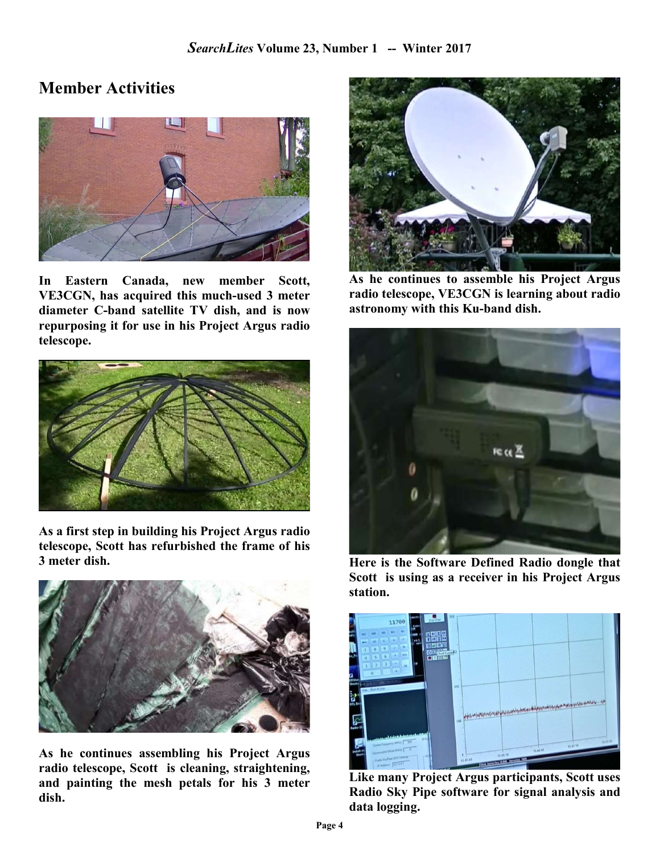# Member Activities



In Eastern Canada, new member Scott, VE3CGN, has acquired this much-used 3 meter diameter C-band satellite TV dish, and is now repurposing it for use in his Project Argus radio telescope.



As a first step in building his Project Argus radio telescope, Scott has refurbished the frame of his 3 meter dish.



As he continues assembling his Project Argus radio telescope, Scott is cleaning, straightening, and painting the mesh petals for his 3 meter dish.



As he continues to assemble his Project Argus radio telescope, VE3CGN is learning about radio astronomy with this Ku-band dish.



Here is the Software Defined Radio dongle that Scott is using as a receiver in his Project Argus station.



Like many Project Argus participants, Scott uses Radio Sky Pipe software for signal analysis and data logging.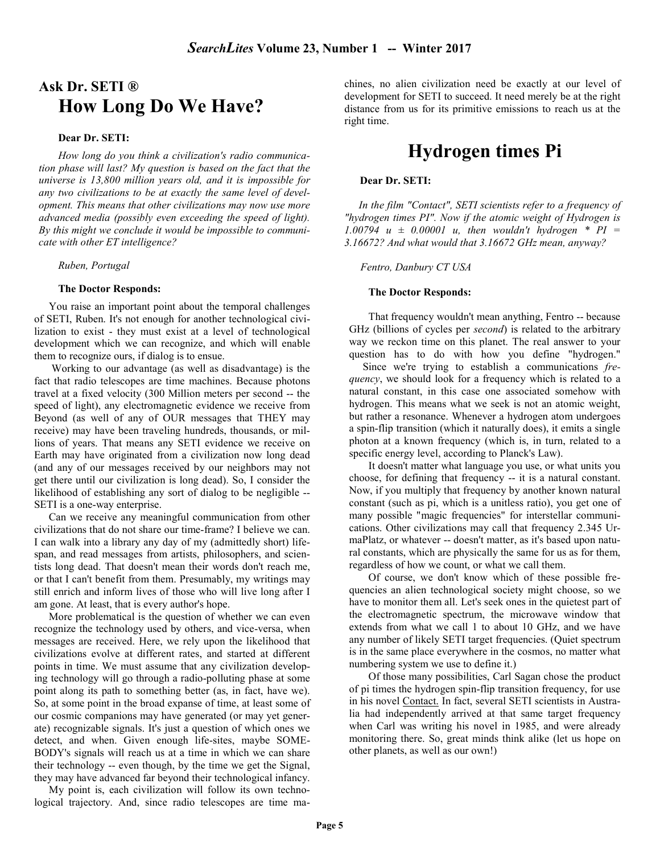# Ask Dr. SETI ® How Long Do We Have?

#### Dear Dr. SETI:

How long do you think a civilization's radio communication phase will last? My question is based on the fact that the universe is 13,800 million years old, and it is impossible for any two civilizations to be at exactly the same level of development. This means that other civilizations may now use more advanced media (possibly even exceeding the speed of light). By this might we conclude it would be impossible to communicate with other ET intelligence?

#### Ruben, Portugal

#### The Doctor Responds:

You raise an important point about the temporal challenges of SETI, Ruben. It's not enough for another technological civilization to exist - they must exist at a level of technological development which we can recognize, and which will enable them to recognize ours, if dialog is to ensue.

 Working to our advantage (as well as disadvantage) is the fact that radio telescopes are time machines. Because photons travel at a fixed velocity (300 Million meters per second -- the speed of light), any electromagnetic evidence we receive from Beyond (as well of any of OUR messages that THEY may receive) may have been traveling hundreds, thousands, or millions of years. That means any SETI evidence we receive on Earth may have originated from a civilization now long dead (and any of our messages received by our neighbors may not get there until our civilization is long dead). So, I consider the likelihood of establishing any sort of dialog to be negligible -- SETI is a one-way enterprise.

Can we receive any meaningful communication from other civilizations that do not share our time-frame? I believe we can. I can walk into a library any day of my (admittedly short) lifespan, and read messages from artists, philosophers, and scientists long dead. That doesn't mean their words don't reach me, or that I can't benefit from them. Presumably, my writings may still enrich and inform lives of those who will live long after I am gone. At least, that is every author's hope.

More problematical is the question of whether we can even recognize the technology used by others, and vice-versa, when messages are received. Here, we rely upon the likelihood that civilizations evolve at different rates, and started at different points in time. We must assume that any civilization developing technology will go through a radio-polluting phase at some point along its path to something better (as, in fact, have we). So, at some point in the broad expanse of time, at least some of our cosmic companions may have generated (or may yet generate) recognizable signals. It's just a question of which ones we detect, and when. Given enough life-sites, maybe SOME-BODY's signals will reach us at a time in which we can share their technology -- even though, by the time we get the Signal, they may have advanced far beyond their technological infancy.

My point is, each civilization will follow its own technological trajectory. And, since radio telescopes are time machines, no alien civilization need be exactly at our level of development for SETI to succeed. It need merely be at the right distance from us for its primitive emissions to reach us at the right time.

# Hydrogen times Pi

#### Dear Dr. SETI:

In the film "Contact", SETI scientists refer to a frequency of "hydrogen times PI". Now if the atomic weight of Hydrogen is 1.00794  $u \pm 0.00001$  u, then wouldn't hydrogen \* PI = 3.16672? And what would that 3.16672 GHz mean, anyway?

Fentro, Danbury CT USA

#### The Doctor Responds:

That frequency wouldn't mean anything, Fentro -- because GHz (billions of cycles per *second*) is related to the arbitrary way we reckon time on this planet. The real answer to your question has to do with how you define "hydrogen."

 Since we're trying to establish a communications frequency, we should look for a frequency which is related to a natural constant, in this case one associated somehow with hydrogen. This means what we seek is not an atomic weight, but rather a resonance. Whenever a hydrogen atom undergoes a spin-flip transition (which it naturally does), it emits a single photon at a known frequency (which is, in turn, related to a specific energy level, according to Planck's Law).

It doesn't matter what language you use, or what units you choose, for defining that frequency -- it is a natural constant. Now, if you multiply that frequency by another known natural constant (such as pi, which is a unitless ratio), you get one of many possible "magic frequencies" for interstellar communications. Other civilizations may call that frequency 2.345 UrmaPlatz, or whatever -- doesn't matter, as it's based upon natural constants, which are physically the same for us as for them, regardless of how we count, or what we call them.

Of course, we don't know which of these possible frequencies an alien technological society might choose, so we have to monitor them all. Let's seek ones in the quietest part of the electromagnetic spectrum, the microwave window that extends from what we call 1 to about 10 GHz, and we have any number of likely SETI target frequencies. (Quiet spectrum is in the same place everywhere in the cosmos, no matter what numbering system we use to define it.)

Of those many possibilities, Carl Sagan chose the product of pi times the hydrogen spin-flip transition frequency, for use in his novel Contact. In fact, several SETI scientists in Australia had independently arrived at that same target frequency when Carl was writing his novel in 1985, and were already monitoring there. So, great minds think alike (let us hope on other planets, as well as our own!)